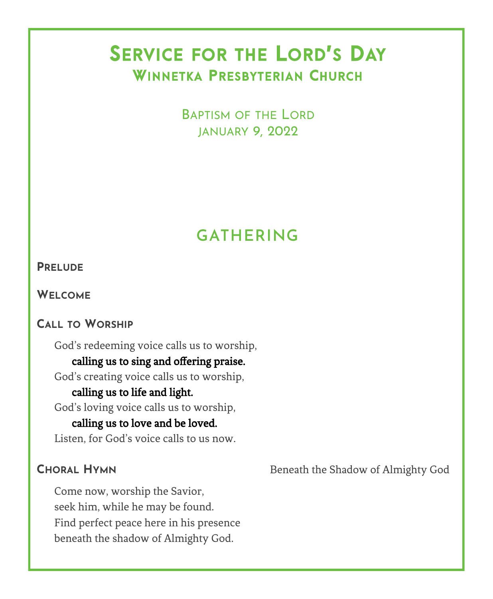# SERVICE FOR THE LORD'S DAY WINNETKA PRESBYTERIAN CHURCH

BAPTISM OF THE LORD JANUARY 9, 2022

# **GATHERING**

#### **PRELUDE**

**WELCOME**

## **CALL TO WORSHIP**

God's redeeming voice calls us to worship,

## calling us to sing and offering praise.

God's creating voice calls us to worship,

#### calling us to life and light.

God's loving voice calls us to worship,

### calling us to love and be loved.

Listen, for God's voice calls to us now.

Come now, worship the Savior, seek him, while he may be found. Find perfect peace here in his presence beneath the shadow of Almighty God.

**CHORAL HYMN** Beneath the Shadow of Almighty God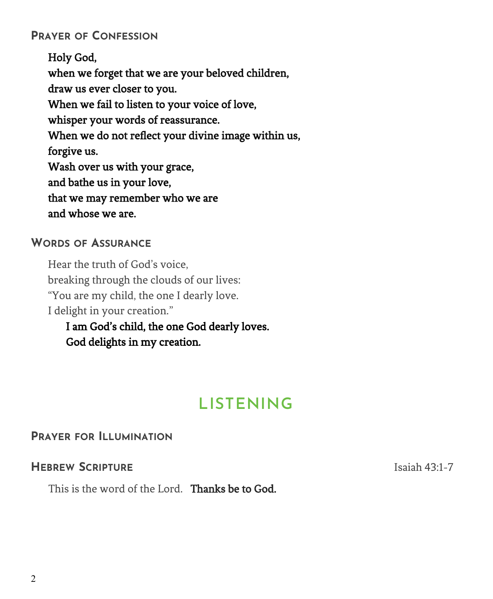## **PRAYER OF CONFESSION**

Holy God, when we forget that we are your beloved children, draw us ever closer to you. When we fail to listen to your voice of love, whisper your words of reassurance. When we do not reflect your divine image within us, forgive us. Wash over us with your grace, and bathe us in your love, that we may remember who we are and whose we are.

#### **WORDS OF ASSURANCE**

Hear the truth of God's voice, breaking through the clouds of our lives: "You are my child, the one I dearly love. I delight in your creation." I am God's child, the one God dearly loves.

God delights in my creation.

# **LISTENING**

## **PRAYER FOR ILLUMINATION**

## **HEBREW SCRIPTURE ISLANDIC SCRIPTURE ISLANDIC SCRIPTION**

This is the word of the Lord. Thanks be to God.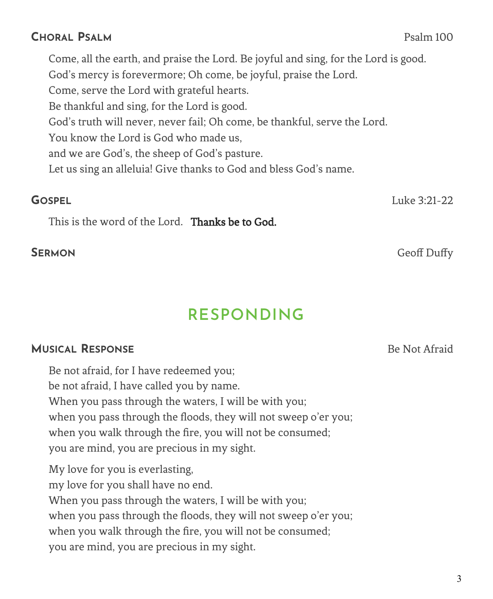### **CHORAL PSALM** Psalm 100

Come, all the earth, and praise the Lord. Be joyful and sing, for the Lord is good. God's mercy is forevermore; Oh come, be joyful, praise the Lord. Come, serve the Lord with grateful hearts. Be thankful and sing, for the Lord is good. God's truth will never, never fail; Oh come, be thankful, serve the Lord. You know the Lord is God who made us, and we are God's, the sheep of God's pasture. Let us sing an alleluia! Give thanks to God and bless God's name.

This is the word of the Lord. Thanks be to God.

# **RESPONDING**

## **MUSICAL RESPONSE BE NOT AFRAIDED ASSAULTED ASSAULT AT A RESPONSE BE NOT A FRAID BE NOT A FRAID BE NOT A FRAID**

Be not afraid, for I have redeemed you; be not afraid, I have called you by name. When you pass through the waters, I will be with you; when you pass through the floods, they will not sweep o'er you; when you walk through the fire, you will not be consumed; you are mind, you are precious in my sight. My love for you is everlasting, my love for you shall have no end. When you pass through the waters, I will be with you; when you pass through the floods, they will not sweep o'er you; when you walk through the fire, you will not be consumed; you are mind, you are precious in my sight.

**GOSPEL** Luke 3:21-22

**SERMON** Geoff Duffy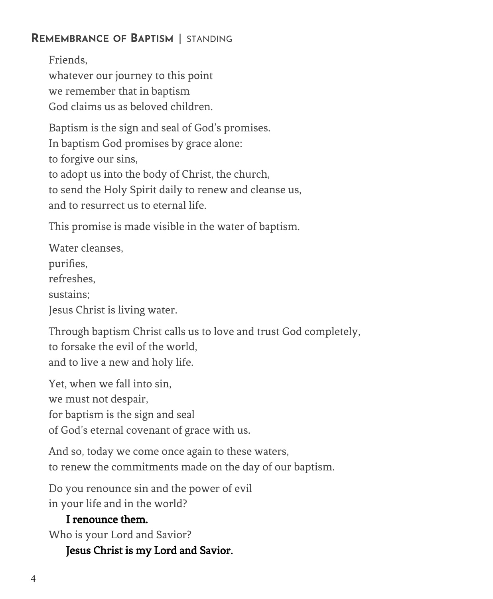## **REMEMBRANCE OF BAPTISM** | STANDING

Friends, whatever our journey to this point we remember that in baptism God claims us as beloved children.

Baptism is the sign and seal of God's promises. In baptism God promises by grace alone: to forgive our sins, to adopt us into the body of Christ, the church, to send the Holy Spirit daily to renew and cleanse us, and to resurrect us to eternal life.

This promise is made visible in the water of baptism.

Water cleanses, purifies, refreshes, sustains; Jesus Christ is living water.

Through baptism Christ calls us to love and trust God completely, to forsake the evil of the world, and to live a new and holy life.

Yet, when we fall into sin, we must not despair, for baptism is the sign and seal of God's eternal covenant of grace with us.

And so, today we come once again to these waters, to renew the commitments made on the day of our baptism.

Do you renounce sin and the power of evil in your life and in the world?

## I renounce them.

Who is your Lord and Savior?

## Jesus Christ is my Lord and Savior.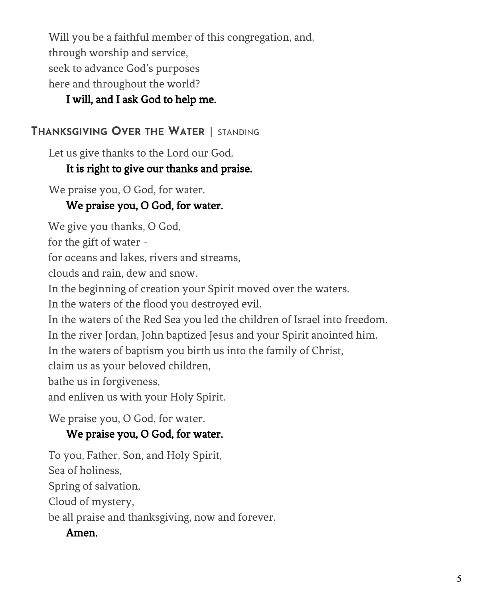Will you be a faithful member of this congregation, and, through worship and service, seek to advance God's purposes here and throughout the world?

## I will, and I ask God to help me.

## **THANKSGIVING OVER THE WATER** | STANDING

Let us give thanks to the Lord our God.

## It is right to give our thanks and praise.

We praise you, O God, for water.

## We praise you, O God, for water.

We give you thanks, O God,

for the gift of water -

for oceans and lakes, rivers and streams,

clouds and rain, dew and snow.

In the beginning of creation your Spirit moved over the waters.

In the waters of the flood you destroyed evil.

In the waters of the Red Sea you led the children of Israel into freedom.

In the river Jordan, John baptized Jesus and your Spirit anointed him.

In the waters of baptism you birth us into the family of Christ,

claim us as your beloved children,

bathe us in forgiveness,

and enliven us with your Holy Spirit.

We praise you, O God, for water.

## We praise you, O God, for water.

 To you, Father, Son, and Holy Spirit, Sea of holiness, Spring of salvation, Cloud of mystery, be all praise and thanksgiving, now and forever.

## Amen.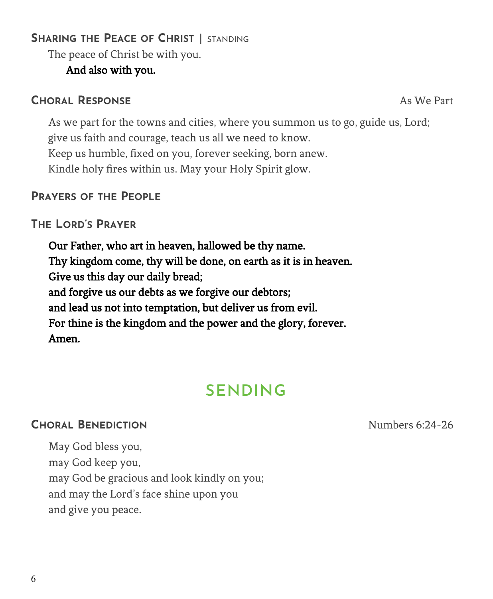## **SHARING THE PEACE OF CHRIST** | STANDING

The peace of Christ be with you.

## And also with you.

## **CHORAL RESPONSE** As We Part

As we part for the towns and cities, where you summon us to go, guide us, Lord; give us faith and courage, teach us all we need to know. Keep us humble, fixed on you, forever seeking, born anew. Kindle holy fires within us. May your Holy Spirit glow.

### **PRAYERS OF THE PEOPLE**

## **THE LORD'S PRAYER**

Our Father, who art in heaven, hallowed be thy name. Thy kingdom come, thy will be done, on earth as it is in heaven. Give us this day our daily bread; and forgive us our debts as we forgive our debtors; and lead us not into temptation, but deliver us from evil. For thine is the kingdom and the power and the glory, forever. Amen.

# **SENDING**

## **CHORAL BENEDICTION** Numbers 6:24-26

May God bless you, may God keep you, may God be gracious and look kindly on you; and may the Lord's face shine upon you and give you peace.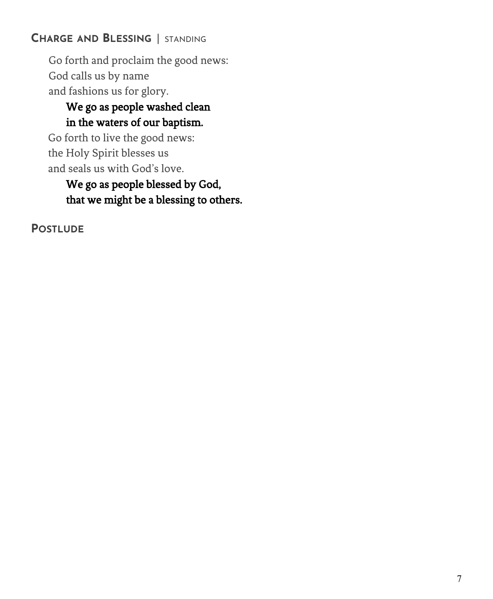## **CHARGE AND BLESSING** | STANDING

Go forth and proclaim the good news: God calls us by name and fashions us for glory.

## We go as people washed clean in the waters of our baptism.

Go forth to live the good news: the Holy Spirit blesses us and seals us with God's love.

## We go as people blessed by God, that we might be a blessing to others.

**POSTLUDE**